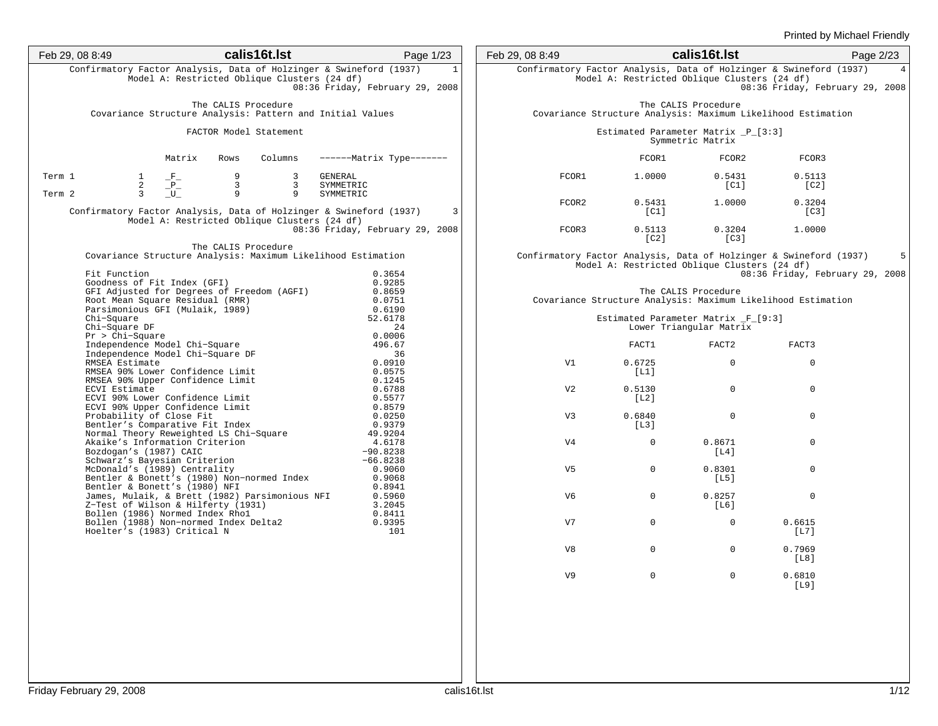| Feb 29, 08 8:49  |                                                                                                                                                 |                                   | calis16t.lst                                 |                                     | Page 1/23                                                                                                             | Feb 29, 08 8:49 |                                              | calis16t.lst                                                   |                                                                                                       | Page 2/23 |
|------------------|-------------------------------------------------------------------------------------------------------------------------------------------------|-----------------------------------|----------------------------------------------|-------------------------------------|-----------------------------------------------------------------------------------------------------------------------|-----------------|----------------------------------------------|----------------------------------------------------------------|-------------------------------------------------------------------------------------------------------|-----------|
|                  |                                                                                                                                                 |                                   | Model A: Restricted Oblique Clusters (24 df) |                                     | Confirmatory Factor Analysis, Data of Holzinger & Swineford (1937)<br>$\mathbf{1}$<br>08:36 Friday, February 29, 2008 |                 | Model A: Restricted Oblique Clusters (24 df) |                                                                | Confirmatory Factor Analysis, Data of Holzinger & Swineford (1937)<br>08:36 Friday, February 29, 2008 |           |
|                  |                                                                                                                                                 |                                   | The CALIS Procedure                          |                                     | Covariance Structure Analysis: Pattern and Initial Values                                                             |                 |                                              | The CALIS Procedure                                            | Covariance Structure Analysis: Maximum Likelihood Estimation                                          |           |
|                  |                                                                                                                                                 |                                   | FACTOR Model Statement                       |                                     |                                                                                                                       |                 |                                              | Estimated Parameter Matrix _P_[3:3]<br>Symmetric Matrix        |                                                                                                       |           |
|                  |                                                                                                                                                 | Matrix                            | Rows                                         | Columns                             | ------- Matrix Type-------                                                                                            |                 | FCOR1                                        | FCOR2                                                          | FCOR3                                                                                                 |           |
| Term 1<br>Term 2 | $\mathbf{1}$<br>$\frac{2}{3}$                                                                                                                   | $-F_{-}$<br>$-P_{-}$<br>${\bf U}$ | 9<br>$\mathbf{3}$<br>9                       | $\mathbf{3}$<br>3 <sup>7</sup><br>9 | GENERAL<br>SYMMETRIC<br>SYMMETRIC                                                                                     | FCOR1           | 1.0000                                       | 0.5431<br>[CI]                                                 | 0.5113<br>[C2]                                                                                        |           |
|                  |                                                                                                                                                 |                                   |                                              |                                     | Confirmatory Factor Analysis, Data of Holzinger & Swineford (1937)<br>$\overline{3}$                                  | FCOR2           | 0.5431<br>[CI]                               | 1.0000                                                         | 0.3204<br>[C3]                                                                                        |           |
|                  |                                                                                                                                                 |                                   | Model A: Restricted Oblique Clusters (24 df) |                                     | 08:36 Friday, February 29, 2008                                                                                       | FCOR3           | 0.5113<br>$\lceil$ C2 $\rceil$               | 0.3204<br>$\lceil C3 \rceil$                                   | 1,0000                                                                                                |           |
|                  | Fit Function                                                                                                                                    |                                   | The CALIS Procedure                          |                                     | Covariance Structure Analysis: Maximum Likelihood Estimation<br>0.3654                                                |                 | Model A: Restricted Oblique Clusters (24 df) |                                                                | Confirmatory Factor Analysis, Data of Holzinger & Swineford (1937)<br>08:36 Friday, February 29, 2008 |           |
|                  | Goodness of Fit Index (GFI)<br>GFI Adjusted for Degrees of Freedom (AGFI)<br>Root Mean Square Residual (RMR)<br>Parsimonious GFI (Mulaik, 1989) |                                   |                                              |                                     | 0.9285<br>0.8659<br>0.0751<br>0.6190                                                                                  |                 |                                              | The CALIS Procedure                                            | Covariance Structure Analysis: Maximum Likelihood Estimation                                          |           |
|                  | Chi-Square<br>Chi-Square DF                                                                                                                     |                                   |                                              |                                     | 52.6178<br>24                                                                                                         |                 |                                              | Estimated Parameter Matrix _F_[9:3]<br>Lower Triangular Matrix |                                                                                                       |           |
|                  | $Pr > Chi-Square$<br>Independence Model Chi-Square                                                                                              |                                   |                                              |                                     | 0.0006<br>496.67                                                                                                      |                 | FACT1                                        | FACT <sub>2</sub>                                              | FACT3                                                                                                 |           |
|                  | Independence Model Chi-Square DF<br>RMSEA Estimate<br>RMSEA 90% Lower Confidence Limit<br>RMSEA 90% Upper Confidence Limit                      |                                   |                                              |                                     | 36<br>0.0910<br>0.0575<br>0.1245                                                                                      | V1              | 0.6725<br>[L1]                               | $\mathbf 0$                                                    | $\mathbf 0$                                                                                           |           |
|                  | ECVI Estimate<br>ECVI 90% Lower Confidence Limit<br>ECVI 90% Upper Confidence Limit                                                             |                                   |                                              |                                     | 0.6788<br>0.5577<br>0.8579                                                                                            | V <sub>2</sub>  | 0.5130<br>[L2]                               | $\mathbf 0$                                                    | $\mathbf 0$                                                                                           |           |
|                  | Probability of Close Fit<br>Bentler's Comparative Fit Index<br>Normal Theory Reweighted LS Chi-Square                                           |                                   |                                              |                                     | 0.0250<br>0.9379<br>49.9204                                                                                           | V <sub>3</sub>  | 0.6840<br>[L3]                               | $\mathbf 0$                                                    | $\mathbf 0$                                                                                           |           |
|                  | Akaike's Information Criterion<br>Bozdogan's (1987) CAIC<br>Schwarz's Bayesian Criterion                                                        |                                   |                                              |                                     | 4.6178<br>$-90.8238$<br>$-66.8238$                                                                                    | V <sub>4</sub>  | $\Omega$                                     | 0.8671<br>[L4]                                                 | $\mathbf 0$                                                                                           |           |
|                  | McDonald's (1989) Centrality<br>Bentler & Bonett's (1980) Non-normed Index                                                                      |                                   |                                              |                                     | 0.9060<br>0.9068                                                                                                      | V5              | $\mathbf{0}$                                 | 0.8301<br>[L5]                                                 | $\mathbf 0$                                                                                           |           |
|                  | Bentler & Bonett's (1980) NFI<br>James, Mulaik, & Brett (1982) Parsimonious NFI<br>Z-Test of Wilson & Hilferty (1931)                           |                                   |                                              |                                     | 0.8941<br>0.5960<br>3.2045                                                                                            | V6              | $\mathbf{0}$                                 | 0.8257<br>[L6]                                                 | $\mathbf 0$                                                                                           |           |
|                  | Bollen (1986) Normed Index Rhol<br>Bollen (1988) Non-normed Index Belta2<br>With Charles Collen<br>Hoelter's (1983) Critical N                  |                                   |                                              |                                     | 0.8411<br>0.9395<br>101                                                                                               | V7              | $\overline{0}$                               | $\Omega$                                                       | 0.6615<br>[L7]                                                                                        |           |
|                  |                                                                                                                                                 |                                   |                                              |                                     |                                                                                                                       | V8              | $\Omega$                                     | $\mathbf 0$                                                    | 0.7969<br>[L8]                                                                                        |           |
|                  |                                                                                                                                                 |                                   |                                              |                                     |                                                                                                                       | V <sub>9</sub>  | $\mathbf{0}$                                 | $\mathbf 0$                                                    | 0.6810<br>[L9]                                                                                        |           |
|                  |                                                                                                                                                 |                                   |                                              |                                     |                                                                                                                       |                 |                                              |                                                                |                                                                                                       |           |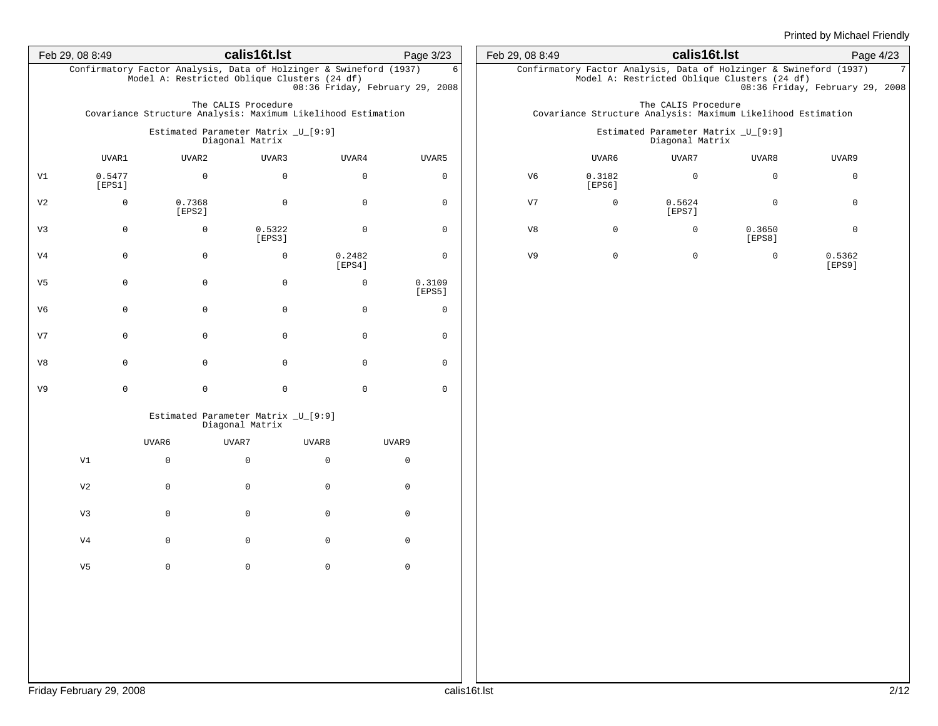|                | Feb 29, 08 8:49  |                                                                                                                    | calis16t.lst        |                                 | Page 3/23        |
|----------------|------------------|--------------------------------------------------------------------------------------------------------------------|---------------------|---------------------------------|------------------|
|                |                  | Confirmatory Factor Analysis, Data of Holzinger & Swineford (1937)<br>Model A: Restricted Oblique Clusters (24 df) |                     | 08:36 Friday, February 29, 2008 | 6                |
|                |                  | Covariance Structure Analysis: Maximum Likelihood Estimation                                                       | The CALIS Procedure |                                 |                  |
|                |                  | Estimated Parameter Matrix _U_[9:9]                                                                                | Diagonal Matrix     |                                 |                  |
|                | UVAR1            | UVAR2                                                                                                              | UVAR3               | UVAR4                           | UVAR5            |
| V1             | 0.5477<br>[EPS1] | $\mathsf{O}\xspace$                                                                                                | $\mathbf 0$         | $\mathsf 0$                     | 0                |
| V <sub>2</sub> | 0                | 0.7368<br>[EPS2]                                                                                                   | $\mathsf 0$         | $\mathsf 0$                     | 0                |
| V3             | 0                | $\mathbf 0$                                                                                                        | 0.5322<br>[EPS3]    | $\mathsf 0$                     | 0                |
| V <sub>4</sub> | 0                | $\mathsf{O}\xspace$                                                                                                | $\mathbf 0$         | 0.2482<br>[EPS4]                | 0                |
| V5             | 0                | $\mathsf{O}\xspace$                                                                                                | $\mathsf 0$         | $\mathbf 0$                     | 0.3109<br>[EPS5] |
| V6             | 0                | $\mathsf{O}\xspace$                                                                                                | $\mathsf 0$         | $\mathbf 0$                     | 0                |
| V7             | 0                | $\mathsf{O}\xspace$                                                                                                | $\mathsf 0$         | $\mathsf 0$                     | 0                |
| V8             | 0                | $\mathsf 0$                                                                                                        | $\mathsf 0$         | $\mathbf 0$                     | 0                |
| V9             | $\mathsf 0$      | $\mathsf 0$                                                                                                        | $\mathsf 0$         | $\mathsf 0$                     | $\mathsf 0$      |
|                |                  | Estimated Parameter Matrix _U_[9:9]                                                                                | Diagonal Matrix     |                                 |                  |
|                |                  | UVAR6                                                                                                              | UVAR7               | UVAR8                           | UVAR9            |
|                | V1               | $\mathsf 0$                                                                                                        | 0                   | $\mathbf 0$                     | $\mathbf 0$      |
|                | V <sub>2</sub>   | $\mathbf 0$                                                                                                        | $\mathsf 0$         | $\mathsf 0$                     | $\mathbf 0$      |
|                | V <sub>3</sub>   | 0                                                                                                                  | $\mathsf 0$         | $\mathsf 0$                     | $\mathbf 0$      |
|                | V <sub>4</sub>   | 0                                                                                                                  | $\mathsf 0$         | $\mathsf 0$                     | $\mathbf 0$      |
|                | V5               | $\mathsf{O}\xspace$                                                                                                | $\mathsf 0$         | $\mathsf 0$                     | $\mathbf 0$      |
|                |                  |                                                                                                                    |                     |                                 |                  |
|                |                  |                                                                                                                    |                     |                                 |                  |
|                |                  |                                                                                                                    |                     |                                 |                  |
|                |                  |                                                                                                                    |                     |                                 |                  |

| Feb 29, 08 8:49                                                                     |                                 | calis16t.lst                                           |                                                                                                                    |                  | Page 4/23 |  |  |  |  |  |  |
|-------------------------------------------------------------------------------------|---------------------------------|--------------------------------------------------------|--------------------------------------------------------------------------------------------------------------------|------------------|-----------|--|--|--|--|--|--|
|                                                                                     |                                 |                                                        | Confirmatory Factor Analysis, Data of Holzinger & Swineford (1937)<br>Model A: Restricted Oblique Clusters (24 df) |                  | 7         |  |  |  |  |  |  |
|                                                                                     | 08:36 Friday, February 29, 2008 |                                                        |                                                                                                                    |                  |           |  |  |  |  |  |  |
| The CALIS Procedure<br>Covariance Structure Analysis: Maximum Likelihood Estimation |                                 |                                                        |                                                                                                                    |                  |           |  |  |  |  |  |  |
|                                                                                     |                                 | Estimated Parameter Matrix _U_[9:9]<br>Diagonal Matrix |                                                                                                                    |                  |           |  |  |  |  |  |  |
|                                                                                     | UVAR6                           | UVAR7                                                  | UVAR8                                                                                                              | UVAR9            |           |  |  |  |  |  |  |
| V6                                                                                  | 0.3182<br>[EPS6]                | 0                                                      | $\Omega$                                                                                                           | 0                |           |  |  |  |  |  |  |
| V7                                                                                  | $\Omega$                        | 0.5624<br>[EPS7]                                       | $\Omega$                                                                                                           | $\Omega$         |           |  |  |  |  |  |  |
| V8                                                                                  | 0                               | $\Omega$                                               | 0.3650<br>[EPS8]                                                                                                   | $\Omega$         |           |  |  |  |  |  |  |
| V9                                                                                  | $\Omega$                        | $\Omega$                                               | $\Omega$                                                                                                           | 0.5362<br>[EPS9] |           |  |  |  |  |  |  |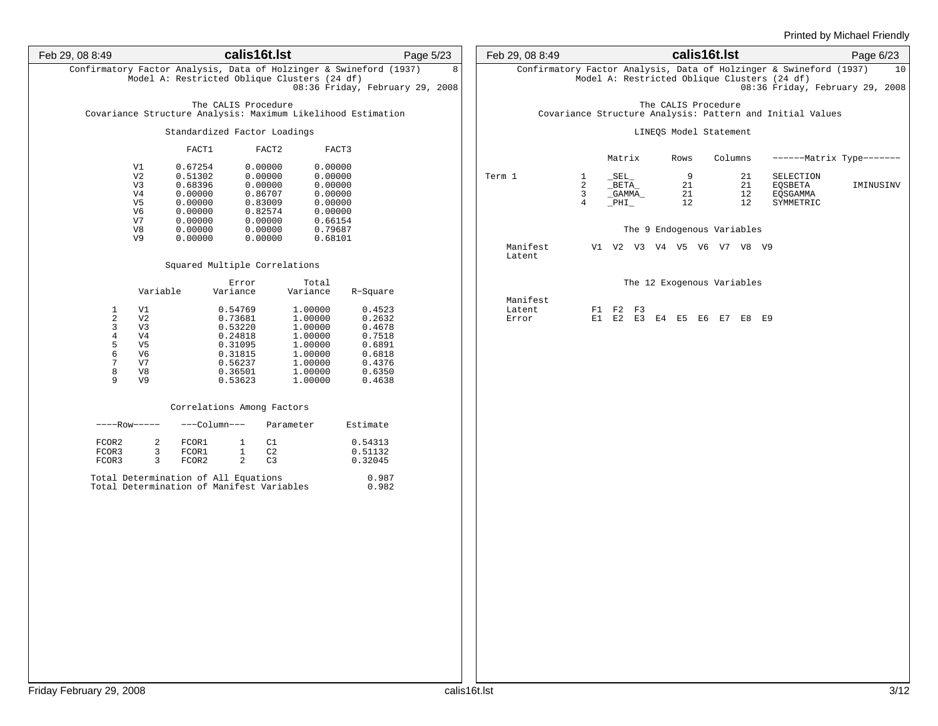| Feb 29, 08 8:49                                                              | calis16t.lst                                                                                                                                                                                                                                                                                             | Page 5/23                                                                              | Feb 29, 08 8:49             | calis16t.lst                                                                                                                | Page 6/23                                                  |
|------------------------------------------------------------------------------|----------------------------------------------------------------------------------------------------------------------------------------------------------------------------------------------------------------------------------------------------------------------------------------------------------|----------------------------------------------------------------------------------------|-----------------------------|-----------------------------------------------------------------------------------------------------------------------------|------------------------------------------------------------|
|                                                                              | Confirmatory Factor Analysis, Data of Holzinger & Swineford (1937)<br>Model A: Restricted Oblique Clusters (24 df)                                                                                                                                                                                       | 8<br>08:36 Friday, February 29, 2008                                                   |                             | Confirmatory Factor Analysis, Data of Holzinger & Swineford (1937)<br>Model A: Restricted Oblique Clusters (24 df)          | 10<br>08:36 Friday, February 29, 2008                      |
|                                                                              | The CALIS Procedure<br>Covariance Structure Analysis: Maximum Likelihood Estimation                                                                                                                                                                                                                      |                                                                                        |                             | The CALIS Procedure<br>Covariance Structure Analysis: Pattern and Initial Values                                            |                                                            |
|                                                                              | Standardized Factor Loadings                                                                                                                                                                                                                                                                             |                                                                                        |                             | LINEQS Model Statement                                                                                                      |                                                            |
|                                                                              | FACT2<br>FACT1<br>FACT3                                                                                                                                                                                                                                                                                  |                                                                                        |                             | Matrix<br>Rows<br>Columns                                                                                                   | ------- Matrix Type-------                                 |
|                                                                              | 0.67254<br>0.00000<br>0.00000<br>V1<br>V <sub>2</sub><br>0.51302<br>0.00000<br>0.00000<br>0.68396<br>0.00000<br>0.00000<br>V3<br>0.00000<br>0.86707<br>0.00000<br>V4<br>0.00000<br>0.83009<br>0.00000<br>V5<br>0.00000<br>0.82574<br>0.00000<br>V6<br>0.00000<br>0.66154<br>V7<br>0.00000                |                                                                                        | Term 1                      | $\_SEL$<br>- 9<br>21<br>1<br>2<br>$_{\rm I}$ BETA $_{\rm -}$<br>21<br>21<br>3<br>12<br>_GAMMA_<br>21<br>$\_PHI$<br>12<br>12 | SELECTION<br>IMINUSINV<br>EQSBETA<br>EQSGAMMA<br>SYMMETRIC |
|                                                                              | 0.79687<br>0.00000<br>0.00000<br>V8<br>0.00000<br>0.00000<br>0.68101<br>V9                                                                                                                                                                                                                               |                                                                                        |                             | The 9 Endogenous Variables                                                                                                  |                                                            |
|                                                                              | Squared Multiple Correlations                                                                                                                                                                                                                                                                            |                                                                                        | Manifest<br>Latent          | V1 V2 V3 V4 V5 V6 V7 V8 V9                                                                                                  |                                                            |
|                                                                              | Error<br>Total<br>Variable<br>Variance<br>Variance                                                                                                                                                                                                                                                       | R-Square                                                                               |                             | The 12 Exogenous Variables                                                                                                  |                                                            |
| 1<br>2<br>$\overline{3}$<br>$\overline{4}$<br>5<br>$\epsilon$<br>7<br>8<br>9 | 0.54769<br>1.00000<br>V1<br>V <sub>2</sub><br>0.73681<br>1.00000<br>0.53220<br>1.00000<br>V3<br>V <sub>4</sub><br>0.24818<br>1.00000<br>V <sub>5</sub><br>0.31095<br>1.00000<br>V6<br>0.31815<br>1.00000<br>V7<br>0.56237<br>1.00000<br>V8<br>0.36501<br>1.00000<br>V <sub>9</sub><br>1.00000<br>0.53623 | 0.4523<br>0.2632<br>0.4678<br>0.7518<br>0.6891<br>0.6818<br>0.4376<br>0.6350<br>0.4638 | Manifest<br>Latent<br>Error | F1 F2 F3<br>E1 E2 E3 E4 E5 E6 E7 E8 E9                                                                                      |                                                            |
|                                                                              | Correlations Among Factors                                                                                                                                                                                                                                                                               |                                                                                        |                             |                                                                                                                             |                                                            |
|                                                                              | $---Row---$<br>---Column---<br>Parameter                                                                                                                                                                                                                                                                 | Estimate                                                                               |                             |                                                                                                                             |                                                            |
| FCOR2<br>FCOR3<br>FCOR3                                                      | C1<br>2<br>FCOR1<br>$\mathbf{1}$<br>$\mathbf{1}$<br>3<br>FCOR1<br>C2<br>$\overline{a}$<br>3<br>FCOR2<br>C <sub>3</sub>                                                                                                                                                                                   | 0.54313<br>0.51132<br>0.32045                                                          |                             |                                                                                                                             |                                                            |
|                                                                              | Total Determination of All Equations<br>Total Determination of Manifest Variables                                                                                                                                                                                                                        | 0.987<br>0.982                                                                         |                             |                                                                                                                             |                                                            |
|                                                                              |                                                                                                                                                                                                                                                                                                          |                                                                                        |                             |                                                                                                                             |                                                            |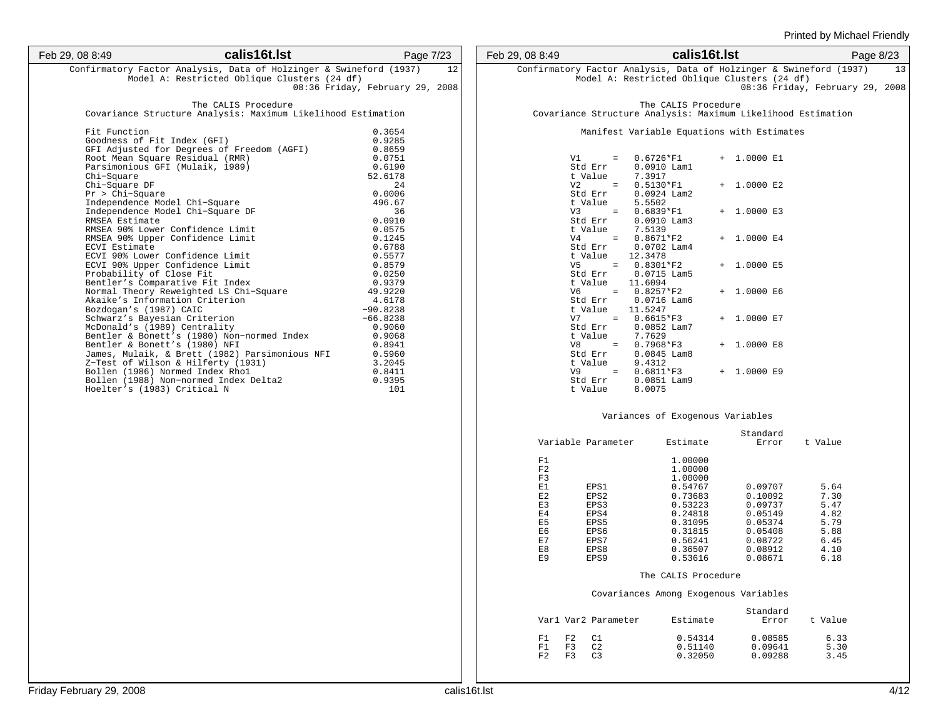| Feb 29, 08 8:49                                                                        | calis16t.lst                                                                                                                                                          | Page 7/23                                                 |
|----------------------------------------------------------------------------------------|-----------------------------------------------------------------------------------------------------------------------------------------------------------------------|-----------------------------------------------------------|
|                                                                                        | Confirmatory Factor Analysis, Data of Holzinger & Swineford (1937)<br>Model A: Restricted Oblique Clusters (24 df)                                                    | 12                                                        |
|                                                                                        |                                                                                                                                                                       | 08:36 Friday, February 29, 2008                           |
|                                                                                        | The CALIS Procedure<br>Covariance Structure Analysis: Maximum Likelihood Estimation                                                                                   |                                                           |
| Fit Function<br>Goodness of Fit Index (GFI)<br>Chi-Square                              | GFI Adjusted for Degrees of Freedom (AGFI)<br>Root Mean Square Residual (RMR)<br>Parsimonious GFI (Mulaik, 1989)                                                      | 0.3654<br>0.9285<br>0.8659<br>0.0751<br>0.6190<br>52.6178 |
| Chi-Square DF<br>$Pr > Chi-Square$<br>RMSEA Estimate                                   | Independence Model Chi-Square<br>Independence Model Chi-Square DF                                                                                                     | 24<br>0.0006<br>496.67<br>36<br>0.0910                    |
| ECVI Estimate                                                                          | RMSEA 90% Lower Confidence Limit<br>RMSEA 90% Upper Confidence Limit<br>ECVI 90% Lower Confidence Limit                                                               | 0.0575<br>0.1245<br>0.6788<br>0.5577                      |
| Probability of Close Fit                                                               | ECVI 90% Upper Confidence Limit<br>Bentler's Comparative Fit Index<br>Normal Theory Reweighted LS Chi-Square                                                          | 0.8579<br>0.0250<br>0.9379<br>49.9220                     |
| Bozdogan's (1987) CAIC<br>Schwarz's Bayesian Criterion<br>McDonald's (1989) Centrality | Akaike's Information Criterion                                                                                                                                        | 4.6178<br>$-90.8238$<br>$-66.8238$<br>0.9060              |
| Bentler & Bonett's (1980) NFI                                                          | Bentler & Bonett's (1980) Non-normed Index<br>James, Mulaik, & Brett (1982) Parsimonious NFI<br>Z-Test of Wilson & Hilferty (1931)<br>Bollen (1986) Normed Index Rhol | 0.9068<br>0.8941<br>0.5960<br>3.2045<br>0.8411            |
| Hoelter's (1983) Critical N                                                            | Bollen (1988) Non-normed Index Delta2                                                                                                                                 | 0.9395<br>101                                             |

| Feb 29, 08 8:49                                                    |                                                             | calis16t.lst |               |                                                              | Page 8/23 |    |
|--------------------------------------------------------------------|-------------------------------------------------------------|--------------|---------------|--------------------------------------------------------------|-----------|----|
| Confirmatory Factor Analysis, Data of Holzinger & Swineford (1937) | Model A: Restricted Oblique Clusters (24 df)                |              |               | 08:36 Friday, February 29, 2008                              |           | 13 |
|                                                                    | The CALIS Procedure                                         |              |               | Covariance Structure Analysis: Maximum Likelihood Estimation |           |    |
|                                                                    | Manifest Variable Equations with Estimates                  |              |               |                                                              |           |    |
| V1 —<br>t Value                                                    | $= 0.6726*F1$<br>Std Err 0.0910 Lam1<br>7.3917              |              | $+ 1.0000 E1$ |                                                              |           |    |
|                                                                    | $V2 = 0.5130*F1$<br>Std Err 0.0924 Lam2<br>t Value $5.5502$ |              | $+ 1.0000 E2$ |                                                              |           |    |
|                                                                    | $V3 = 0.6839*F1$<br>t Value 7.5139                          |              | $+ 1.0000 E3$ |                                                              |           |    |
|                                                                    | V4 = 0.8671*F2<br>Std Err 0.0702 Lam4<br>t Value 12.3478    |              | $+ 1.0000 E4$ |                                                              |           |    |
| t Value                                                            | $V5 = 0.8301*F2$<br>Std Err 0.0715 Lam5<br>11.6094          |              | $+ 1.0000 E5$ |                                                              |           |    |
|                                                                    | $V6 = 0.8257*F2$<br>Std Err 0.0716 Lam6<br>t Value 11.5247  |              | $+ 1.0000 E6$ |                                                              |           |    |
|                                                                    | $V7 = 0.6615*F3$<br>Std Err 0.0852 Lam7<br>t Value 7.7629   |              | $+ 1.0000 E7$ |                                                              |           |    |
| t Value                                                            | V8 = 0.7968*F3<br>Std Err 0.0845 Lam8<br>9.4312             |              | $+ 1.0000 E8$ |                                                              |           |    |
|                                                                    | $V9 = 0.6811*F3$<br>Std Err 0.0851 Lam9<br>t Value 8.0075   |              | $+ 1.0000 E9$ |                                                              |           |    |
|                                                                    | Variances of Exogenous Variables                            |              |               |                                                              |           |    |

|     | Variable Parameter | Estimate | Standard<br>Error | t Value |
|-----|--------------------|----------|-------------------|---------|
|     |                    |          |                   |         |
| F1  |                    | 1,00000  |                   |         |
| F2  |                    | 1,00000  |                   |         |
| F3  |                    | 1,00000  |                   |         |
| E1  | EPS1               | 0.54767  | 0.09707           | 5.64    |
| E2  | EPS2               | 0.73683  | 0.10092           | 7.30    |
| E3  | EPS3               | 0.53223  | 0.09737           | 5.47    |
| E4  | EPS4               | 0.24818  | 0.05149           | 4.82    |
| E5  | EPS5               | 0.31095  | 0.05374           | 5.79    |
| E6  | EPS6               | 0.31815  | 0.05408           | 5.88    |
| E.7 | EPS7               | 0.56241  | 0.08722           | 6.45    |
| E8  | EPS8               | 0.36507  | 0.08912           | 4.10    |
| E9  | EPS9               | 0.53616  | 0.08671           | 6.18    |

#### The CALIS Procedure

#### Covariances Among Exogenous Variables

|                |    | Varl Var2 Parameter | Estimate | Standard<br>Error | t Value |
|----------------|----|---------------------|----------|-------------------|---------|
| F1             | F2 | $\cap$ 1            | 0.54314  | 0.08585           | 6.33    |
| F1             | F3 | C.2                 | 0.51140  | 0.09641           | 5.30    |
| F <sub>2</sub> | 요  | 7 م                 | 0.32050  | 0.09288           | 3.45    |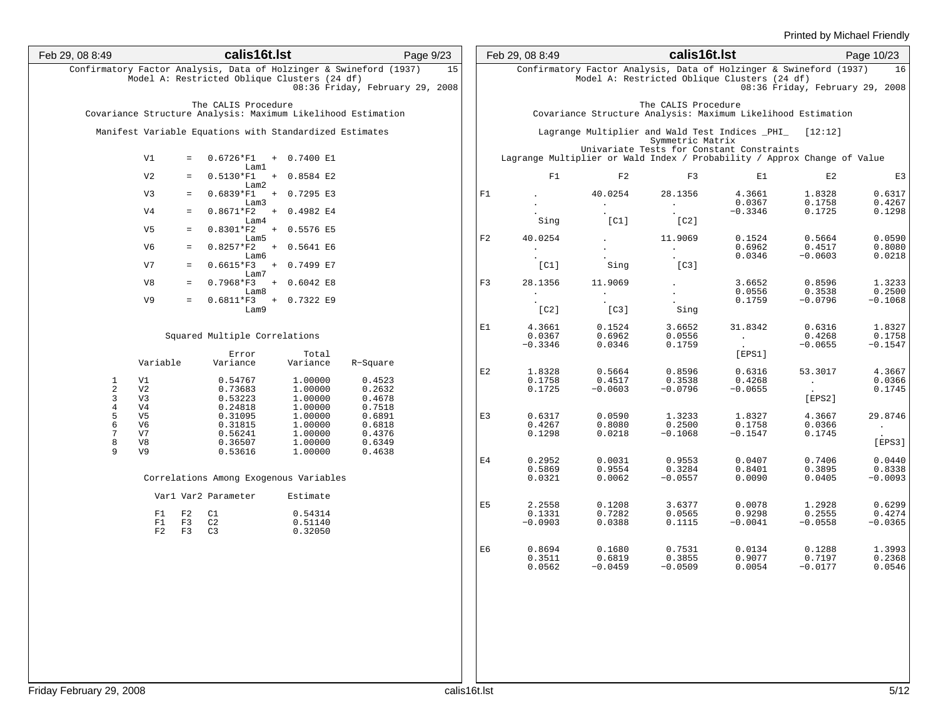| Feb 29, 08 8:49                                                                 | calis16t.lst                                                                                                       | Page 9/23                                      |    | Feb 29, 08 8:49               |                               | calis16t.lst                  |                                                                                                                    |                                      | Page 10/23                    |
|---------------------------------------------------------------------------------|--------------------------------------------------------------------------------------------------------------------|------------------------------------------------|----|-------------------------------|-------------------------------|-------------------------------|--------------------------------------------------------------------------------------------------------------------|--------------------------------------|-------------------------------|
|                                                                                 | Confirmatory Factor Analysis, Data of Holzinger & Swineford (1937)<br>Model A: Restricted Oblique Clusters (24 df) | 15<br>08:36 Friday, February 29, 2008          |    |                               |                               |                               | Confirmatory Factor Analysis, Data of Holzinger & Swineford (1937)<br>Model A: Restricted Oblique Clusters (24 df) | 08:36 Friday, February 29, 2008      | 16                            |
|                                                                                 | The CALIS Procedure<br>Covariance Structure Analysis: Maximum Likelihood Estimation                                |                                                |    |                               |                               | The CALIS Procedure           | Covariance Structure Analysis: Maximum Likelihood Estimation                                                       |                                      |                               |
|                                                                                 | Manifest Variable Equations with Standardized Estimates                                                            |                                                |    |                               |                               | Symmetric Matrix              | Lagrange Multiplier and Wald Test Indices _PHI_ [12:12]<br>Univariate Tests for Constant Constraints               |                                      |                               |
| V1                                                                              | $0.6726*F1 + 0.7400 E1$<br>$=$<br>Lam1                                                                             |                                                |    |                               |                               |                               | Lagrange Multiplier or Wald Index / Probability / Approx Change of Value                                           |                                      |                               |
| V <sub>2</sub>                                                                  | $0.5130*F1 + 0.8584 E2$<br>$=$<br>Lam2<br>$0.6839*F1 + 0.7295 E3$                                                  |                                                |    | F1                            | F2                            | F3                            | E1                                                                                                                 | E2                                   | E3                            |
| V <sub>3</sub><br>V <sub>4</sub>                                                | $=$<br>Lam3<br>$0.8671*F2 + 0.4982 E4$<br>$=$                                                                      |                                                | F1 |                               | 40.0254                       | 28.1356                       | 4.3661<br>0.0367<br>$-0.3346$                                                                                      | 1.8328<br>0.1758<br>0.1725           | 0.6317<br>0.4267<br>0.1298    |
| V5                                                                              | Lam4<br>$0.8301*F2 + 0.5576 E5$<br>$=$                                                                             |                                                |    | Sing                          | [CI]                          | [C2]                          |                                                                                                                    |                                      |                               |
| V6                                                                              | Lam5<br>$0.8257*F2 + 0.5641 E6$<br>$=$<br>Lam6                                                                     |                                                | F2 | 40.0254                       |                               | 11.9069                       | 0.1524<br>0.6962<br>0.0346                                                                                         | 0.5664<br>0.4517<br>$-0.0603$        | 0.0590<br>0.8080<br>0.0218    |
| V7                                                                              | $0.6615*F3 + 0.7499 E7$<br>$=$<br>Lam7                                                                             |                                                |    | [CI]                          | Sing                          | [C3]                          |                                                                                                                    |                                      |                               |
| V8                                                                              | $0.7968*F3 + 0.6042 E8$<br>$=$<br>Lam8                                                                             |                                                | F3 | 28.1356<br>$\sim 10^{-11}$    | 11.9069                       |                               | 3.6652<br>0.0556                                                                                                   | 0.8596<br>0.3538                     | 1.3233<br>0.2500              |
| V9                                                                              | $0.6811*F3 + 0.7322 E9$<br>$=$<br>Lam9                                                                             |                                                |    | [C2]                          | [C3]                          | Sing                          | 0.1759                                                                                                             | $-0.0796$                            | $-0.1068$                     |
|                                                                                 | Squared Multiple Correlations                                                                                      |                                                | E1 | 4.3661<br>0.0367<br>$-0.3346$ | 0.1524<br>0.6962<br>0.0346    | 3.6652<br>0.0556<br>0.1759    | 31.8342<br>$\mathcal{L}_{\rm{max}}$                                                                                | 0.6316<br>0.4268<br>$-0.0655$        | 1.8327<br>0.1758<br>$-0.1547$ |
| Variable                                                                        | Error<br>Total<br>Variance<br>Variance                                                                             | R-Square                                       | E2 | 1.8328                        | 0.5664                        | 0.8596                        | [EPS1]<br>0.6316                                                                                                   | 53.3017                              | 4.3667                        |
| V1<br>1<br>$\overline{a}$<br>V <sub>2</sub><br>$\mathbf{3}$<br>V <sub>3</sub>   | 0.54767<br>1.00000<br>0.73683<br>1.00000<br>1.00000<br>0.53223                                                     | 0.4523<br>0.2632<br>0.4678                     |    | 0.1758<br>0.1725              | 0.4517<br>$-0.0603$           | 0.3538<br>$-0.0796$           | 0.4268<br>$-0.0655$                                                                                                | $\mathcal{L}_{\rm{max}}$ .<br>[EPS2] | 0.0366<br>0.1745              |
| $\bf{4}$<br>V4<br>5<br>V <sub>5</sub><br>$\epsilon$<br>V6<br>7<br>V7<br>8<br>V8 | 1.00000<br>0.24818<br>1.00000<br>0.31095<br>1.00000<br>0.31815<br>1.00000<br>0.56241<br>1.00000<br>0.36507         | 0.7518<br>0.6891<br>0.6818<br>0.4376<br>0.6349 | E3 | 0.6317<br>0.4267<br>0.1298    | 0.0590<br>0.8080<br>0.0218    | 1.3233<br>0.2500<br>$-0.1068$ | 1.8327<br>0.1758<br>$-0.1547$                                                                                      | 4.3667<br>0.0366<br>0.1745           | 29.8746<br>$\sim$<br>[EPS3]   |
| 9<br>V <sub>9</sub>                                                             | 1.00000<br>0.53616<br>Correlations Among Exogenous Variables                                                       | 0.4638                                         | E4 | 0.2952<br>0.5869<br>0.0321    | 0.0031<br>0.9554<br>0.0062    | 0.9553<br>0.3284<br>$-0.0557$ | 0.0407<br>0.8401<br>0.0090                                                                                         | 0.7406<br>0.3895<br>0.0405           | 0.0440<br>0.8338<br>$-0.0093$ |
|                                                                                 | Varl Var2 Parameter<br>Estimate                                                                                    |                                                |    |                               |                               |                               |                                                                                                                    |                                      |                               |
| F1<br>F1<br>F2                                                                  | 0.54314<br>F2<br>C1<br>F3<br>C2<br>0.51140<br>F3<br>C3<br>0.32050                                                  |                                                | E5 | 2.2558<br>0.1331<br>$-0.0903$ | 0.1208<br>0.7282<br>0.0388    | 3.6377<br>0.0565<br>0.1115    | 0.0078<br>0.9298<br>$-0.0041$                                                                                      | 1.2928<br>0.2555<br>$-0.0558$        | 0.6299<br>0.4274<br>$-0.0365$ |
|                                                                                 |                                                                                                                    |                                                | E6 | 0.8694<br>0.3511<br>0.0562    | 0.1680<br>0.6819<br>$-0.0459$ | 0.7531<br>0.3855<br>$-0.0509$ | 0.0134<br>0.9077<br>0.0054                                                                                         | 0.1288<br>0.7197<br>$-0.0177$        | 1.3993<br>0.2368<br>0.0546    |
| riday February 29, 2008                                                         |                                                                                                                    | calis16t.lst                                   |    |                               |                               |                               |                                                                                                                    |                                      | 5/12                          |
|                                                                                 |                                                                                                                    |                                                |    |                               |                               |                               |                                                                                                                    |                                      |                               |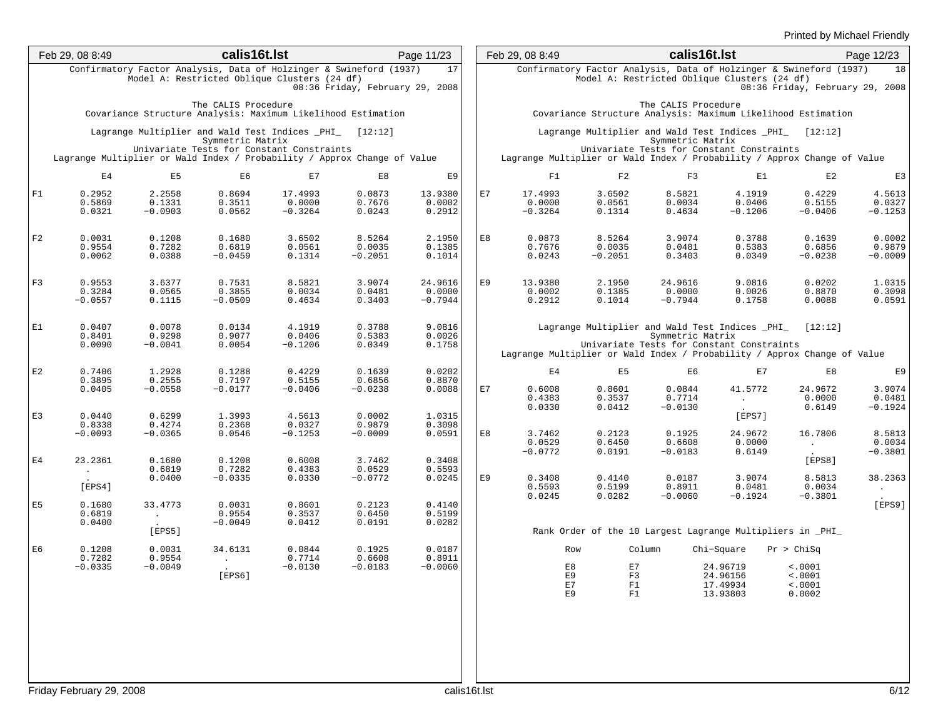|                | Feb 29, 08 8:49                      |                                                                                                                    | calis16t.lst                       |                                           |                                 | Page 11/23                     |              | Feb 29, 08 8:49                |                                                        | calis16t.lst                                                                                                             |                                     |                                                                                                          | Page 12/23                    |
|----------------|--------------------------------------|--------------------------------------------------------------------------------------------------------------------|------------------------------------|-------------------------------------------|---------------------------------|--------------------------------|--------------|--------------------------------|--------------------------------------------------------|--------------------------------------------------------------------------------------------------------------------------|-------------------------------------|----------------------------------------------------------------------------------------------------------|-------------------------------|
|                |                                      | Confirmatory Factor Analysis, Data of Holzinger & Swineford (1937)<br>Model A: Restricted Oblique Clusters (24 df) |                                    |                                           | 08:36 Friday, February 29, 2008 | 17                             |              |                                |                                                        | Model A: Restricted Oblique Clusters (24 df)                                                                             |                                     | Confirmatory Factor Analysis, Data of Holzinger & Swineford (1937) 18<br>08:36 Friday, February 29, 2008 |                               |
|                |                                      | Covariance Structure Analysis: Maximum Likelihood Estimation                                                       | The CALIS Procedure                |                                           |                                 |                                |              |                                |                                                        | The CALIS Procedure                                                                                                      |                                     | Covariance Structure Analysis: Maximum Likelihood Estimation                                             |                               |
|                |                                      | Lagrange Multiplier and Wald Test Indices _PHI_ [12:12]                                                            | Symmetric Matrix                   |                                           |                                 |                                |              |                                |                                                        | Symmetric Matrix                                                                                                         |                                     | Lagrange Multiplier and Wald Test Indices _PHI_ [12:12]                                                  |                               |
|                |                                      | Lagrange Multiplier or Wald Index / Probability / Approx Change of Value                                           |                                    | Univariate Tests for Constant Constraints |                                 |                                |              |                                |                                                        | Univariate Tests for Constant Constraints                                                                                |                                     | Lagrange Multiplier or Wald Index / Probability / Approx Change of Value                                 |                               |
|                | E4                                   | E <sub>5</sub>                                                                                                     | E6                                 | E7                                        | E8                              | E9                             |              | F1                             | F <sub>2</sub>                                         | F3                                                                                                                       | E1                                  | E2                                                                                                       | E3                            |
| F1             | 0.2952<br>0.5869<br>0.0321           | 2.2558<br>0.1331<br>$-0.0903$                                                                                      | 0.8694<br>0.3511<br>0.0562         | 17.4993<br>0.0000<br>$-0.3264$            | 0.0873<br>0.7676<br>0.0243      | 13.9380<br>0.0002<br>0.2912    | E7           | 17.4993<br>0.0000<br>$-0.3264$ | 3.6502<br>0.0561<br>0.1314                             | 8.5821<br>0.0034<br>0.4634                                                                                               | 4.1919<br>0.0406<br>$-0.1206$       | 0.4229<br>0.5155<br>$-0.0406$                                                                            | 4.5613<br>0.0327<br>$-0.1253$ |
| F2             | 0.0031<br>0.9554<br>0.0062           | 0.1208<br>0.7282<br>0.0388                                                                                         | 0.1680<br>0.6819<br>$-0.0459$      | 3.6502<br>0.0561<br>0.1314                | 8.5264<br>0.0035<br>$-0.2051$   | 2.1950<br>0.1385<br>0.1014     | E8           | 0.0873<br>0.7676<br>0.0243     | 8.5264<br>0.0035<br>$-0.2051$                          | 3.9074<br>0.0481<br>0.3403                                                                                               | 0.3788<br>0.5383<br>0.0349          | 0.1639<br>0.6856<br>$-0.0238$                                                                            | 0.0002<br>0.9879<br>$-0.0009$ |
| F3             | 0.9553<br>0.3284<br>$-0.0557$        | 3.6377<br>0.0565<br>0.1115                                                                                         | 0.7531<br>0.3855<br>$-0.0509$      | 8.5821<br>0.0034<br>0.4634                | 3.9074<br>0.0481<br>0.3403      | 24.9616<br>0.0000<br>$-0.7944$ | E9           | 13.9380<br>0.0002<br>0.2912    | 2.1950<br>0.1385<br>0.1014                             | 24.9616<br>0.0000<br>$-0.7944$                                                                                           | 9.0816<br>0.0026<br>0.1758          | 0.0202<br>0.8870<br>0.0088                                                                               | 1.0315<br>0.3098<br>0.0591    |
| E1             | 0.0407<br>0.8401<br>0.0090           | 0.0078<br>0.9298<br>$-0.0041$                                                                                      | 0.0134<br>0.9077<br>0.0054         | 4.1919<br>0.0406<br>$-0.1206$             | 0.3788<br>0.5383<br>0.0349      | 9.0816<br>0.0026<br>0.1758     |              |                                |                                                        | Lagrange Multiplier and Wald Test Indices _PHI_ [12:12]<br>Symmetric Matrix<br>Univariate Tests for Constant Constraints |                                     | Lagrange Multiplier or Wald Index / Probability / Approx Change of Value                                 |                               |
| E2             | 0.7406                               | 1.2928                                                                                                             | 0.1288                             | 0.4229                                    | 0.1639                          | 0.0202                         |              | E <sub>4</sub>                 | E5                                                     | E6                                                                                                                       | E7                                  | E8                                                                                                       | E9                            |
|                | 0.3895<br>0.0405                     | 0.2555<br>$-0.0558$                                                                                                | 0.7197<br>$-0.0177$                | 0.5155<br>$-0.0406$                       | 0.6856<br>$-0.0238$             | 0.8870<br>0.0088               | E7           | 0.6008<br>0.4383<br>0.0330     | 0.8601<br>0.3537<br>0.0412                             | 0.0844<br>0.7714<br>$-0.0130$                                                                                            | 41.5772<br>$\sim 10^{11}$ m $^{-1}$ | 24.9672<br>0.0000<br>0.6149                                                                              | 3.9074<br>0.0481<br>$-0.1924$ |
| E3             | 0.0440<br>0.8338                     | 0.6299<br>0.4274                                                                                                   | 1.3993<br>0.2368                   | 4.5613<br>0.0327                          | 0.0002<br>0.9879                | 1.0315<br>0.3098               |              |                                |                                                        |                                                                                                                          | [EPS7]                              |                                                                                                          |                               |
|                | $-0.0093$                            | $-0.0365$                                                                                                          | 0.0546                             | $-0.1253$                                 | $-0.0009$                       | 0.0591                         | E8           | 3.7462<br>0.0529<br>$-0.0772$  | 0.2123<br>0.6450<br>0.0191                             | 0.1925<br>0.6608<br>$-0.0183$                                                                                            | 24.9672<br>0.0000<br>0.6149         | 16.7806<br><b>Contract Contract</b><br><b>Contract Contract</b>                                          | 8.5813<br>0.0034<br>$-0.3801$ |
| E4             | 23.2361<br>$\sim 10^{-10}$<br>[EPS4] | 0.1680<br>0.6819<br>0.0400                                                                                         | 0.1208<br>0.7282<br>$-0.0335$      | 0.6008<br>0.4383<br>0.0330                | 3.7462<br>0.0529<br>$-0.0772$   | 0.3408<br>0.5593<br>0.0245     | E9           | 0.3408<br>0.5593               | 0.4140<br>0.5199                                       | 0.0187<br>0.8911                                                                                                         | 3.9074<br>0.0481                    | [EPS8]<br>8.5813<br>0.0034                                                                               | 38.2363                       |
| E <sub>5</sub> | 0.1680<br>0.6819                     | 33.4773<br><b>Contractor</b>                                                                                       | 0.0031<br>0.9554                   | 0.8601<br>0.3537                          | 0.2123<br>0.6450                | 0.4140<br>0.5199               |              | 0.0245                         | 0.0282                                                 | $-0.0060$                                                                                                                | $-0.1924$                           | $-0.3801$                                                                                                | <b>Contract</b><br>[EPS9]     |
|                | 0.0400                               | <b>Contract Contract</b><br>[EPS5]                                                                                 | $-0.0049$                          | 0.0412                                    | 0.0191                          | 0.0282                         |              |                                |                                                        |                                                                                                                          |                                     | Rank Order of the 10 Largest Lagrange Multipliers in _PHI_                                               |                               |
| E <sub>6</sub> | 0.1208                               | 0.0031                                                                                                             | 34.6131                            | 0.0844                                    | 0.1925                          | 0.0187                         |              |                                | Row                                                    | Column Chi-Square Pr > ChiSq                                                                                             |                                     |                                                                                                          |                               |
|                | 0.7282<br>$-0.0335$                  | 0.9554<br>$-0.0049$                                                                                                | <b>Contract Contract</b>           | 0.7714<br>$-0.0130$                       | 0.6608<br>$-0.0183$             | 0.8911<br>$-0.0060$            |              |                                | E8                                                     | E7                                                                                                                       | 24.96719                            |                                                                                                          |                               |
|                |                                      |                                                                                                                    | <b>Contract Contract</b><br>[EPS6] |                                           |                                 |                                |              |                                | E9<br>$_{\rm E}^{7}$<br>$\mathbbmss{F}1$<br>${\rm F}1$ | F3                                                                                                                       | 24.96156<br>17.49934<br>13.93803    | < .0001<br>< .0001<br>< .0001<br>0.0002                                                                  |                               |
|                | Friday February 29, 2008             |                                                                                                                    |                                    |                                           |                                 |                                | calis16t.lst |                                |                                                        |                                                                                                                          |                                     |                                                                                                          | 6/12                          |
|                |                                      |                                                                                                                    |                                    |                                           |                                 |                                |              |                                |                                                        |                                                                                                                          |                                     |                                                                                                          |                               |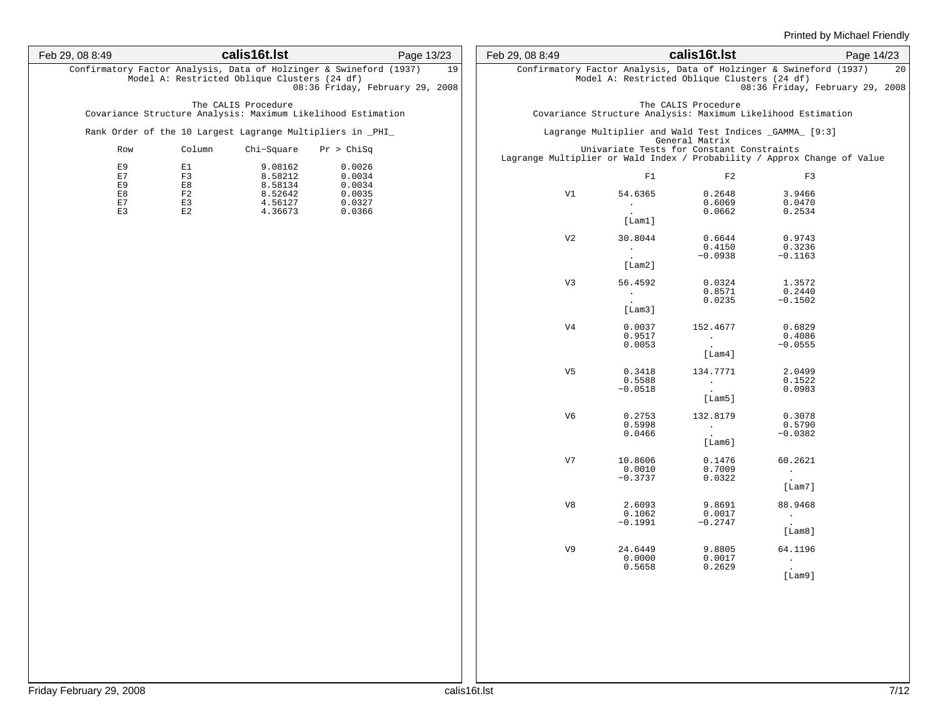| Feb 29, 08 8:49 | calis16t.lst                                                                                                       | Page 13/23                            | Feb 29, 08 8:49 |                                                                  | calis16t.lst                                                               |                                                                                                       | Page 14/23 |
|-----------------|--------------------------------------------------------------------------------------------------------------------|---------------------------------------|-----------------|------------------------------------------------------------------|----------------------------------------------------------------------------|-------------------------------------------------------------------------------------------------------|------------|
|                 | Confirmatory Factor Analysis, Data of Holzinger & Swineford (1937)<br>Model A: Restricted Oblique Clusters (24 df) | 19<br>08:36 Friday, February 29, 2008 |                 | Model A: Restricted Oblique Clusters (24 df)                     |                                                                            | Confirmatory Factor Analysis, Data of Holzinger & Swineford (1937)<br>08:36 Friday, February 29, 2008 | 20         |
|                 | The CALIS Procedure<br>Covariance Structure Analysis: Maximum Likelihood Estimation                                |                                       |                 |                                                                  | The CALIS Procedure                                                        | Covariance Structure Analysis: Maximum Likelihood Estimation                                          |            |
|                 | Rank Order of the 10 Largest Lagrange Multipliers in _PHI_                                                         |                                       |                 | Lagrange Multiplier and Wald Test Indices _GAMMA_ [9:3]          | General Matrix                                                             |                                                                                                       |            |
| Row             | Column<br>Chi-Square                                                                                               | Pr > Chisq                            |                 | Univariate Tests for Constant Constraints                        |                                                                            | Lagrange Multiplier or Wald Index / Probability / Approx Change of Value                              |            |
| E9<br>E7<br>E9  | 9.08162<br>E1<br>8.58212<br>F3<br>E8<br>8.58134                                                                    | 0.0026<br>0.0034<br>0.0034            |                 | F1                                                               | F2                                                                         | F3                                                                                                    |            |
| E8<br>E7<br>E3  | F2<br>8.52642<br>E3<br>4.56127<br>E2<br>4.36673                                                                    | 0.0035<br>0.0327<br>0.0366            | V1              | 54.6365<br>$\sim 100$<br><b>Contract Contract</b><br>[Lam1]      | 0.2648<br>0.6069<br>0.0662                                                 | 3.9466<br>0.0470<br>0.2534                                                                            |            |
|                 |                                                                                                                    |                                       | V <sub>2</sub>  | 30.8044<br>$\sim 100$<br>[Lam2]                                  | 0.6644<br>0.4150<br>$-0.0938$                                              | 0.9743<br>0.3236<br>$-0.1163$                                                                         |            |
|                 |                                                                                                                    |                                       | V <sub>3</sub>  | 56.4592<br>$\mathcal{L}_{\rm{max}}$<br>$\sim 10^{-10}$<br>[Lam3] | 0.0324<br>0.8571<br>0.0235                                                 | 1.3572<br>0.2440<br>$-0.1502$                                                                         |            |
|                 |                                                                                                                    |                                       | V <sub>4</sub>  | 0.0037<br>0.9517<br>0.0053                                       | 152.4677<br><b>Contract Contract</b><br>[Lam4]                             | 0.6829<br>0.4086<br>$-0.0555$                                                                         |            |
|                 |                                                                                                                    |                                       | V5              | 0.3418<br>0.5588<br>$-0.0518$                                    | 134.7771<br><b>Contract Contract</b><br><b>Contract Contract</b><br>[Lam5] | 2.0499<br>0.1522<br>0.0983                                                                            |            |
|                 |                                                                                                                    |                                       | V6              | 0.2753<br>0.5998<br>0.0466                                       | 132.8179<br><b>Contract Contract</b><br>[Lambda]                           | 0.3078<br>0.5790<br>$-0.0382$                                                                         |            |
|                 |                                                                                                                    |                                       | V7              | 10.8606<br>0.0010<br>$-0.3737$                                   | 0.1476<br>0.7009<br>0.0322                                                 | 60.2621<br>$\sim 100$<br>$\sim 10^{-10}$<br>[Lam7]                                                    |            |
|                 |                                                                                                                    |                                       | V8              | 2.6093<br>0.1062<br>$-0.1991$                                    | 9.8691<br>0.0017<br>$-0.2747$                                              | 88.9468<br>$\sim 100$<br><b>Contract</b><br>[Lam8]                                                    |            |
|                 |                                                                                                                    |                                       | V9              | 24.6449<br>0.0000<br>0.5658                                      | 9.8805<br>0.0017<br>0.2629                                                 | 64.1196<br>$\sim 10^{-1}$<br>$\sim 10^{-11}$<br>[Lam9]                                                |            |
|                 |                                                                                                                    |                                       |                 |                                                                  |                                                                            |                                                                                                       |            |
|                 |                                                                                                                    |                                       |                 |                                                                  |                                                                            |                                                                                                       |            |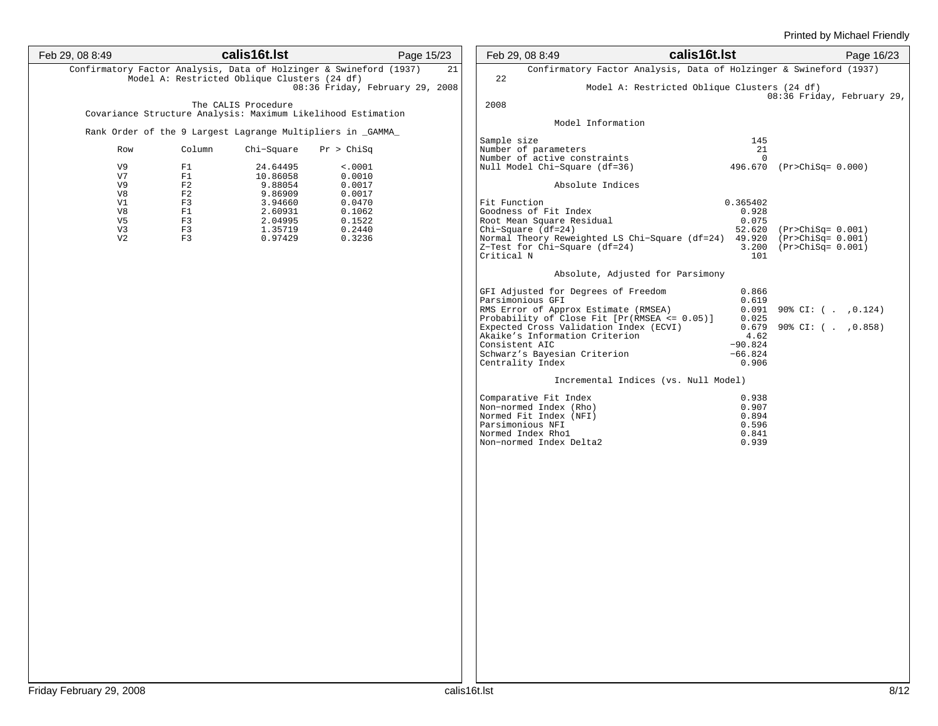| Feb 29, 08 8:49                        | calis16t.lst                                                                                                       | Page 15/23                                     | Feb 29, 08 8:49                                                                                                                                                                                                                                                                                   | calis16t.lst                                                                                                 | Page 16/23                                                   |
|----------------------------------------|--------------------------------------------------------------------------------------------------------------------|------------------------------------------------|---------------------------------------------------------------------------------------------------------------------------------------------------------------------------------------------------------------------------------------------------------------------------------------------------|--------------------------------------------------------------------------------------------------------------|--------------------------------------------------------------|
|                                        | Confirmatory Factor Analysis, Data of Holzinger & Swineford (1937)<br>Model A: Restricted Oblique Clusters (24 df) | 21                                             | 22                                                                                                                                                                                                                                                                                                | Confirmatory Factor Analysis, Data of Holzinger & Swineford (1937)                                           |                                                              |
|                                        |                                                                                                                    | 08:36 Friday, February 29, 2008                |                                                                                                                                                                                                                                                                                                   | Model A: Restricted Oblique Clusters (24 df)                                                                 | 08:36 Friday, February 29,                                   |
|                                        | The CALIS Procedure<br>Covariance Structure Analysis: Maximum Likelihood Estimation                                |                                                | 2008                                                                                                                                                                                                                                                                                              |                                                                                                              |                                                              |
|                                        |                                                                                                                    |                                                | Model Information                                                                                                                                                                                                                                                                                 |                                                                                                              |                                                              |
| Row                                    | Rank Order of the 9 Largest Lagrange Multipliers in _GAMMA_<br>Chi-Square<br>Column                                | Pr > Chisq                                     | Sample size<br>Number of parameters                                                                                                                                                                                                                                                               | 145<br>21                                                                                                    |                                                              |
| V9<br>V7                               | 24.64495<br>F1<br>F1<br>10.86058                                                                                   | < .0001<br>0.0010                              | Number of active constraints<br>Null Model Chi-Square (df=36)                                                                                                                                                                                                                                     | $\Omega$                                                                                                     | 496.670 (Pr>ChiSq= 0.000)                                    |
| V9<br>V8                               | F2<br>9.88054<br>F2<br>9.86909                                                                                     | 0.0017<br>0.0017                               | Absolute Indices                                                                                                                                                                                                                                                                                  |                                                                                                              |                                                              |
| V1<br>V8<br>V5<br>V3<br>V <sub>2</sub> | F3<br>3.94660<br>F1<br>2.60931<br>F3<br>2.04995<br>F3<br>1.35719<br>F3<br>0.97429                                  | 0.0470<br>0.1062<br>0.1522<br>0.2440<br>0.3236 | Fit Function<br>Goodness of Fit Index<br>Root Mean Square Residual<br>$Chi-Square$ ( $df=24$ )<br>Z-Test for Chi-Square (df=24)<br>Critical N                                                                                                                                                     | 0.365402<br>0.928<br>0.075<br>Normal Theory Reweighted LS Chi-Square (df=24) 49.920 (Pr>ChiSq= 0.001)<br>101 | 52.620 (Pr>ChiSq= 0.001)<br>3.200 (Pr>ChiSq= 0.001)          |
|                                        |                                                                                                                    |                                                |                                                                                                                                                                                                                                                                                                   | Absolute, Adjusted for Parsimony                                                                             |                                                              |
|                                        |                                                                                                                    |                                                | GFI Adjusted for Degrees of Freedom<br>Parsimonious GFI<br>RMS Error of Approx Estimate (RMSEA)<br>Probability of Close Fit [Pr(RMSEA <= 0.05)]<br>Expected Cross Validation Index (ECVI)<br>Akaike's Information Criterion<br>Consistent AIC<br>Schwarz's Bayesian Criterion<br>Centrality Index | 0.866<br>0.619<br>0.025<br>4.62<br>$-90.824$<br>$-66.824$<br>0.906                                           | $0.091$ 90% CI: ( . , 0.124)<br>$0.679$ 90% CI: ( . , 0.858) |
|                                        |                                                                                                                    |                                                |                                                                                                                                                                                                                                                                                                   | Incremental Indices (vs. Null Model)                                                                         |                                                              |
|                                        |                                                                                                                    |                                                | Comparative Fit Index<br>Non-normed Index (Rho)<br>Normed Fit Index (NFI)<br>Parsimonious NFI<br>Normed Index Rhol<br>Non-normed Index Delta2                                                                                                                                                     | 0.938<br>0.907<br>0.894<br>0.596<br>0.841<br>0.939                                                           |                                                              |
|                                        |                                                                                                                    |                                                |                                                                                                                                                                                                                                                                                                   |                                                                                                              |                                                              |
|                                        |                                                                                                                    |                                                |                                                                                                                                                                                                                                                                                                   |                                                                                                              |                                                              |
|                                        |                                                                                                                    |                                                |                                                                                                                                                                                                                                                                                                   |                                                                                                              |                                                              |
|                                        |                                                                                                                    |                                                |                                                                                                                                                                                                                                                                                                   |                                                                                                              |                                                              |
|                                        |                                                                                                                    |                                                |                                                                                                                                                                                                                                                                                                   |                                                                                                              |                                                              |
|                                        |                                                                                                                    |                                                |                                                                                                                                                                                                                                                                                                   |                                                                                                              |                                                              |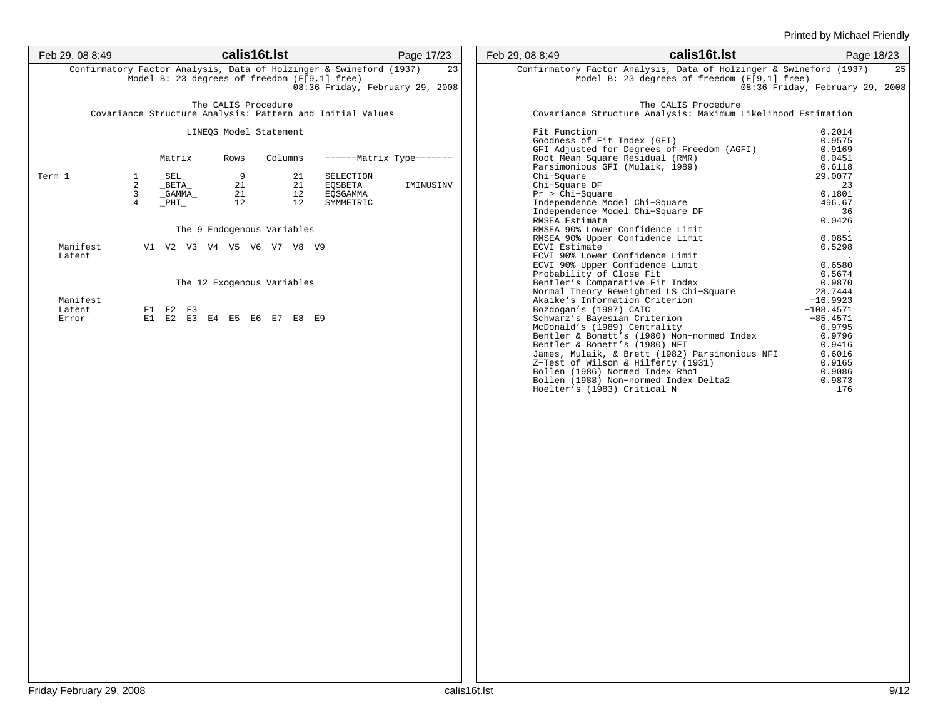| Feb 29, 08 8:49    |                     |                 |                     |      | calis16t.lst |                            |                                                                                                                                                       | Page 17/23 | Feb 29, 08 8:49 |                                                                                                                         |                                              | calis16t.lst        | Page 18/23                      |    |
|--------------------|---------------------|-----------------|---------------------|------|--------------|----------------------------|-------------------------------------------------------------------------------------------------------------------------------------------------------|------------|-----------------|-------------------------------------------------------------------------------------------------------------------------|----------------------------------------------|---------------------|---------------------------------|----|
|                    |                     |                 |                     |      |              |                            | Confirmatory Factor Analysis, Data of Holzinger & Swineford (1937)<br>Model B: 23 degrees of freedom (F[9,1] free)<br>08:36 Friday, February 29, 2008 | 23         |                 | Confirmatory Factor Analysis, Data of Holzinger & Swineford (1937)                                                      | Model B: 23 degrees of freedom (F[9,1] free) |                     | 08:36 Friday, February 29, 2008 | 25 |
|                    |                     |                 | The CALIS Procedure |      |              |                            | Covariance Structure Analysis: Pattern and Initial Values                                                                                             |            |                 | Covariance Structure Analysis: Maximum Likelihood Estimation                                                            |                                              | The CALIS Procedure |                                 |    |
|                    |                     |                 |                     |      |              | LINEQS Model Statement     |                                                                                                                                                       |            |                 | Fit Function                                                                                                            |                                              |                     | 0.2014                          |    |
|                    |                     | Matrix          |                     | Rows |              | Columns                    | ------- Matrix Type-------                                                                                                                            |            |                 | Goodness of Fit Index (GFI)<br>GFI Adjusted for Degrees of Freedom (AGFI)<br>Root Mean Square Residual (RMR)            |                                              |                     | 0.9575<br>0.9169<br>0.0451      |    |
| Term 1             | <sup>1</sup>        | $\_SEL$         |                     |      | 9            | 21                         | SELECTION                                                                                                                                             |            |                 | Parsimonious GFI (Mulaik, 1989)<br>Chi-Square                                                                           |                                              |                     | 0.6118<br>29.0077               |    |
|                    | 2<br>$\overline{3}$ | BETA<br>_GAMMA_ |                     |      | 21<br>21     | 21<br>12                   | EOSBETA<br>EQSGAMMA                                                                                                                                   | IMINUSINV  |                 | Chi-Square DF<br>$Pr > Chi-Square$                                                                                      |                                              |                     | 23<br>0.1801                    |    |
|                    | $\overline{4}$      | $\_$ PHI $\_$   |                     |      | 12           | 12                         | SYMMETRIC                                                                                                                                             |            |                 | Independence Model Chi-Square<br>Independence Model Chi-Square DF                                                       |                                              |                     | 496.67<br>36                    |    |
|                    |                     |                 |                     |      |              | The 9 Endogenous Variables |                                                                                                                                                       |            |                 | RMSEA Estimate<br>RMSEA 90% Lower Confidence Limit                                                                      |                                              |                     | 0.0426                          |    |
| Manifest           |                     |                 |                     |      |              | V1 V2 V3 V4 V5 V6 V7 V8 V9 |                                                                                                                                                       |            |                 | RMSEA 90% Upper Confidence Limit<br>ECVI Estimate                                                                       |                                              |                     | 0.0851<br>0.5298                |    |
| Latent             |                     |                 |                     |      |              |                            |                                                                                                                                                       |            |                 | ECVI 90% Lower Confidence Limit<br>ECVI 90% Upper Confidence Limit<br>Probability of Close Fit                          |                                              |                     | 0.6580<br>0.5674                |    |
|                    |                     |                 |                     |      |              | The 12 Exogenous Variables |                                                                                                                                                       |            |                 | Bentler's Comparative Fit Index<br>Normal Theory Reweighted LS Chi-Square                                               |                                              |                     | 0.9870<br>28.7444               |    |
| Manifest<br>Latent |                     | F1 F2 F3        |                     |      |              |                            |                                                                                                                                                       |            |                 | Akaike's Information Criterion<br>Bozdogan's (1987) CAIC                                                                |                                              |                     | $-16.9923$<br>$-108.4571$       |    |
| Error              |                     |                 |                     |      |              | E1 E2 E3 E4 E5 E6 E7 E8 E9 |                                                                                                                                                       |            |                 | Schwarz's Bayesian Criterion<br>McDonald's (1989) Centrality                                                            |                                              |                     | $-85.4571$<br>0.9795            |    |
|                    |                     |                 |                     |      |              |                            |                                                                                                                                                       |            |                 | Bentler & Bonett's (1980) Non-normed Index<br>Bentler & Bonett's (1980) NFI                                             |                                              |                     | 0.9796<br>0.9416                |    |
|                    |                     |                 |                     |      |              |                            |                                                                                                                                                       |            |                 | James, Mulaik, & Brett (1982) Parsimonious NFI<br>Z-Test of Wilson & Hilferty (1931)<br>Bollen (1986) Normed Index Rhol |                                              |                     | 0.6016<br>0.9165<br>0.9086      |    |
|                    |                     |                 |                     |      |              |                            |                                                                                                                                                       |            |                 | Bollen (1988) Non-normed Index Delta2<br>Hoelter's (1983) Critical N                                                    |                                              |                     | 0.9873<br>176                   |    |
|                    |                     |                 |                     |      |              |                            |                                                                                                                                                       |            |                 |                                                                                                                         |                                              |                     |                                 |    |
|                    |                     |                 |                     |      |              |                            |                                                                                                                                                       |            |                 |                                                                                                                         |                                              |                     |                                 |    |
|                    |                     |                 |                     |      |              |                            |                                                                                                                                                       |            |                 |                                                                                                                         |                                              |                     |                                 |    |
|                    |                     |                 |                     |      |              |                            |                                                                                                                                                       |            |                 |                                                                                                                         |                                              |                     |                                 |    |
|                    |                     |                 |                     |      |              |                            |                                                                                                                                                       |            |                 |                                                                                                                         |                                              |                     |                                 |    |
|                    |                     |                 |                     |      |              |                            |                                                                                                                                                       |            |                 |                                                                                                                         |                                              |                     |                                 |    |
|                    |                     |                 |                     |      |              |                            |                                                                                                                                                       |            |                 |                                                                                                                         |                                              |                     |                                 |    |
|                    |                     |                 |                     |      |              |                            |                                                                                                                                                       |            |                 |                                                                                                                         |                                              |                     |                                 |    |
|                    |                     |                 |                     |      |              |                            |                                                                                                                                                       |            |                 |                                                                                                                         |                                              |                     |                                 |    |
|                    |                     |                 |                     |      |              |                            |                                                                                                                                                       |            |                 |                                                                                                                         |                                              |                     |                                 |    |
|                    |                     |                 |                     |      |              |                            |                                                                                                                                                       |            |                 |                                                                                                                         |                                              |                     |                                 |    |
|                    |                     |                 |                     |      |              |                            |                                                                                                                                                       |            |                 |                                                                                                                         |                                              |                     |                                 |    |
|                    |                     |                 |                     |      |              |                            |                                                                                                                                                       |            |                 |                                                                                                                         |                                              |                     |                                 |    |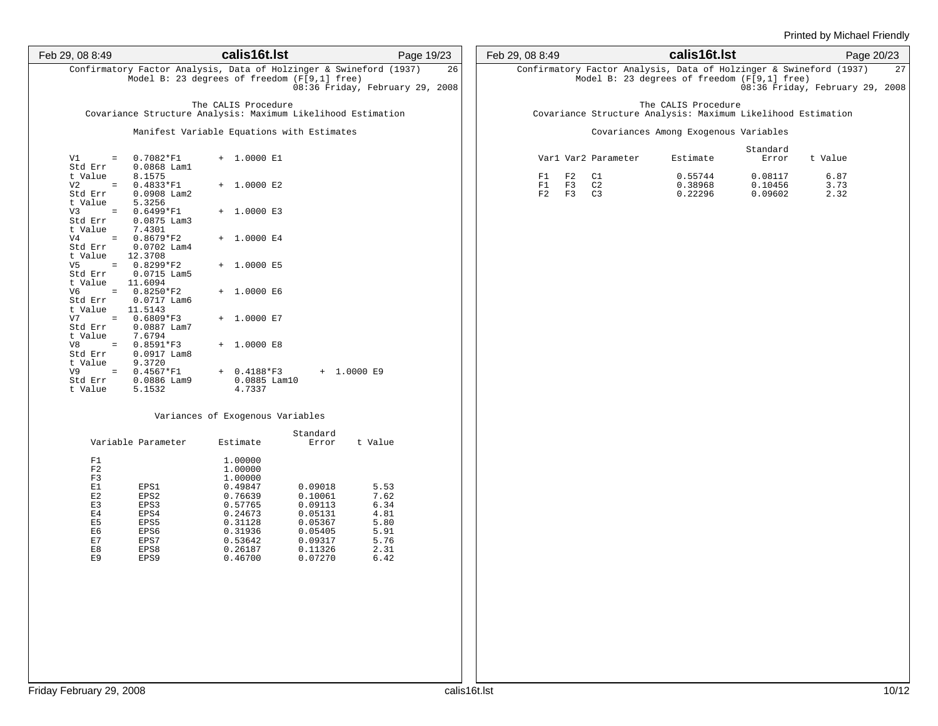| Feb 29, 08 8:49                                             |                                                                                                                    | calis16t.lst                              |                                          |                                 | Page 19/23 | Feb 29, 08 8:49 |                |                |                     | calis16t.lst                                                                                                       |                               |                                 | Page 20/23 |
|-------------------------------------------------------------|--------------------------------------------------------------------------------------------------------------------|-------------------------------------------|------------------------------------------|---------------------------------|------------|-----------------|----------------|----------------|---------------------|--------------------------------------------------------------------------------------------------------------------|-------------------------------|---------------------------------|------------|
|                                                             | Confirmatory Factor Analysis, Data of Holzinger & Swineford (1937)<br>Model B: 23 degrees of freedom (F[9,1] free) |                                           |                                          | 08:36 Friday, February 29, 2008 | 26         |                 |                |                |                     | Confirmatory Factor Analysis, Data of Holzinger & Swineford (1937)<br>Model B: 23 degrees of freedom (F[9,1] free) |                               | 08:36 Friday, February 29, 2008 | 27         |
|                                                             | Covariance Structure Analysis: Maximum Likelihood Estimation                                                       | The CALIS Procedure                       |                                          |                                 |            |                 |                |                |                     | The CALIS Procedure<br>Covariance Structure Analysis: Maximum Likelihood Estimation                                |                               |                                 |            |
|                                                             | Manifest Variable Equations with Estimates                                                                         |                                           |                                          |                                 |            |                 |                |                |                     | Covariances Among Exogenous Variables                                                                              |                               |                                 |            |
| V1<br>$=$ $\,$<br>Std Err                                   | $0.7082*F1$<br>$0.0868$ Lam1                                                                                       | + 1.0000 E1                               |                                          |                                 |            |                 |                |                | Varl Var2 Parameter | Estimate                                                                                                           | Standard<br>Error             | t Value                         |            |
| t Value<br>V2<br>$=$ $\,$<br>Std Err                        | 8.1575<br>$0.4833*F1$<br>$0.0908$ Lam2                                                                             | $+ 1.0000 E2$                             |                                          |                                 |            |                 | F1<br>F1<br>F2 | F2<br>F3<br>F3 | C1<br>C2<br>C3      | 0.55744<br>0.38968<br>0.22296                                                                                      | 0.08117<br>0.10456<br>0.09602 | 6.87<br>3.73<br>2.32            |            |
| t Value<br>$\equiv$<br>V3<br>Std Err                        | 5.3256<br>$0.6499*F1$<br>$0.0875$ Lam3                                                                             | $+ 1.0000 E3$                             |                                          |                                 |            |                 |                |                |                     |                                                                                                                    |                               |                                 |            |
| t Value<br>V <sub>4</sub><br>$=$ $\,$<br>Std Err<br>t Value | 7.4301<br>$0.8679*F2$<br>$0.0702$ Lam4<br>12.3708                                                                  | $+ 1.0000 E4$                             |                                          |                                 |            |                 |                |                |                     |                                                                                                                    |                               |                                 |            |
| V5<br>$=$ $\,$<br>Std Err<br>t Value                        | $0.8299*F2$<br>$0.0715$ Lam5<br>11.6094                                                                            | $+ 1.0000 E5$                             |                                          |                                 |            |                 |                |                |                     |                                                                                                                    |                               |                                 |            |
| V6<br>Std Err<br>t Value                                    | $= 0.8250*F2$<br>$0.0717$ Lam6<br>11.5143                                                                          | $+ 1.0000 E6$                             |                                          |                                 |            |                 |                |                |                     |                                                                                                                    |                               |                                 |            |
| V7<br>$=$ $\,$<br>Std Err<br>t Value                        | $0.6809*F3$<br>$0.0887$ Lam7<br>7.6794                                                                             | $+ 1.0000 E7$                             |                                          |                                 |            |                 |                |                |                     |                                                                                                                    |                               |                                 |            |
| V8<br>$\equiv$<br>Std Err<br>t Value                        | $0.8591*F3$<br>$0.0917$ Lam8<br>9.3720                                                                             | $+ 1.0000 E8$                             |                                          |                                 |            |                 |                |                |                     |                                                                                                                    |                               |                                 |            |
| V9<br>$=$ $\,$<br>Std Err<br>t Value                        | $0.4567*F1$<br>$0.0886$ Lam9<br>5.1532                                                                             | $+ 0.4188*F3$<br>$0.0885$ Lam10<br>4.7337 |                                          | $+ 1.0000 E9$                   |            |                 |                |                |                     |                                                                                                                    |                               |                                 |            |
|                                                             |                                                                                                                    | Variances of Exogenous Variables          |                                          |                                 |            |                 |                |                |                     |                                                                                                                    |                               |                                 |            |
|                                                             | Variable Parameter                                                                                                 | Estimate                                  | Standard<br>Error                        | t Value                         |            |                 |                |                |                     |                                                                                                                    |                               |                                 |            |
| F1<br>F2                                                    |                                                                                                                    | 1.00000<br>1.00000                        |                                          |                                 |            |                 |                |                |                     |                                                                                                                    |                               |                                 |            |
| F3<br>E1<br>E2                                              | EPS1<br>EPS2                                                                                                       | 1.00000<br>0.49847<br>0.76639             | 0.09018<br>0.10061                       | 5.53<br>7.62                    |            |                 |                |                |                     |                                                                                                                    |                               |                                 |            |
| E3<br>$\rm E\,4$<br>E5                                      | EPS3<br>EPS4<br>EPS5                                                                                               | 0.57765<br>0.24673<br>0.31128             | 0.09113<br>0.05131<br>0.05367            | 6.34<br>4.81<br>5.80            |            |                 |                |                |                     |                                                                                                                    |                               |                                 |            |
| E6<br>$\mathop{\rm E{}} 7$<br>E8<br>E9                      | EPS6<br>EPS7<br>EPS8<br>EPS9                                                                                       | 0.31936<br>0.53642<br>0.26187<br>0.46700  | 0.05405<br>0.09317<br>0.11326<br>0.07270 | 5.91<br>5.76<br>2.31<br>6.42    |            |                 |                |                |                     |                                                                                                                    |                               |                                 |            |
|                                                             |                                                                                                                    |                                           |                                          |                                 |            |                 |                |                |                     |                                                                                                                    |                               |                                 |            |
|                                                             |                                                                                                                    |                                           |                                          |                                 |            |                 |                |                |                     |                                                                                                                    |                               |                                 |            |
|                                                             |                                                                                                                    |                                           |                                          |                                 |            |                 |                |                |                     |                                                                                                                    |                               |                                 |            |
|                                                             |                                                                                                                    |                                           |                                          |                                 |            |                 |                |                |                     |                                                                                                                    |                               |                                 |            |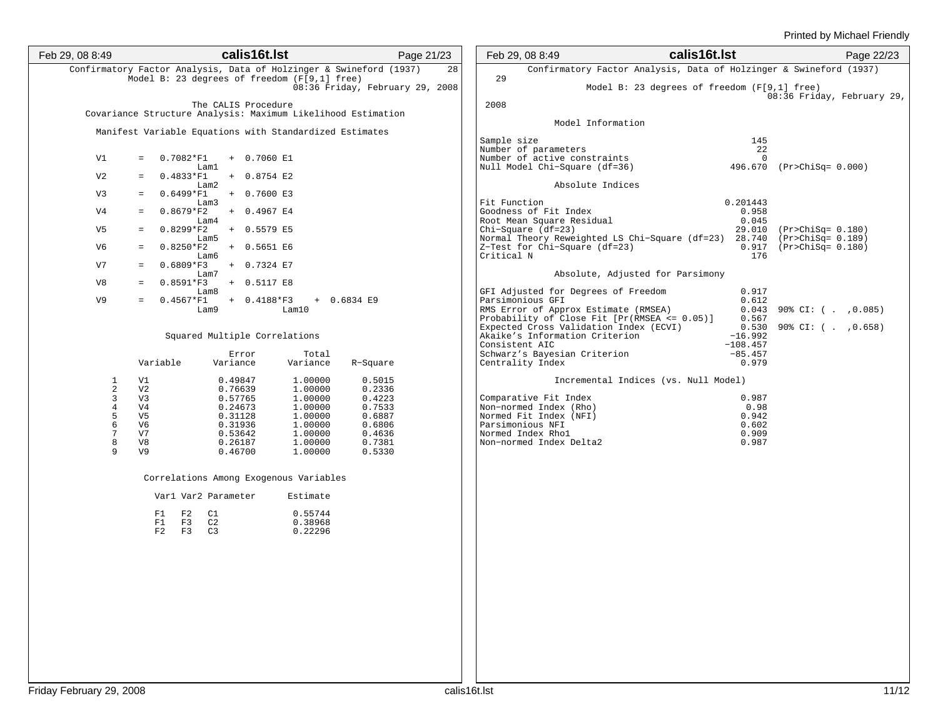| Feb 29, 08 8:49      | calis16t.lst                                                                        | Page 21/23                      | Feb 29, 08 8:49                                                                                          | calis16t.Ist                                                               | Page 22/23 |
|----------------------|-------------------------------------------------------------------------------------|---------------------------------|----------------------------------------------------------------------------------------------------------|----------------------------------------------------------------------------|------------|
|                      | Confirmatory Factor Analysis, Data of Holzinger & Swineford (1937)                  | 28                              | Confirmatory Factor Analysis, Data of Holzinger & Swineford (1937)<br>29                                 |                                                                            |            |
|                      | Model B: 23 degrees of freedom (F[9,1] free)                                        | 08:36 Friday, February 29, 2008 |                                                                                                          | Model B: 23 degrees of freedom (F[9,1] free)<br>08:36 Friday, February 29, |            |
|                      | The CALIS Procedure<br>Covariance Structure Analysis: Maximum Likelihood Estimation |                                 | 2008                                                                                                     |                                                                            |            |
|                      |                                                                                     |                                 | Model Information                                                                                        |                                                                            |            |
|                      | Manifest Variable Equations with Standardized Estimates                             |                                 | Sample size                                                                                              | 145                                                                        |            |
| V1                   | $= 0.7082*F1$<br>$+ 0.7060 E1$                                                      |                                 | Number of parameters<br>Number of active constraints                                                     | 22<br>$\Omega$                                                             |            |
|                      | Lam1                                                                                |                                 | Null Model Chi-Square (df=36)                                                                            | 496.670 (Pr>ChiSq= 0.000)                                                  |            |
| V <sub>2</sub>       | $0.4833*F1$<br>$+ 0.8754 E2$<br>$=$ $-$<br>Lam2                                     |                                 | Absolute Indices                                                                                         |                                                                            |            |
| V3                   | $0.6499*F1$<br>+ 0.7600 E3<br>$=$<br>Lam3                                           |                                 | Fit Function                                                                                             | 0.201443                                                                   |            |
| V4                   | $0.8679*F2$<br>+ 0.4967 E4<br>$=$                                                   |                                 | Goodness of Fit Index                                                                                    | 0.958                                                                      |            |
| V5                   | Lam4<br>$0.8299*F2 + 0.5579 E5$<br>$=$                                              |                                 | Root Mean Square Residual<br>$Chi-Square$ ( $df=23$ )                                                    | 0.045<br>29.010 (Pr>ChiSq= 0.180)                                          |            |
| V6                   | Lam5<br>$0.8250*F2$<br>+ 0.5651 E6<br>$\equiv$ .                                    |                                 | Normal Theory Reweighted LS Chi-Square (df=23) 28.740 (Pr>ChiSq= 0.189)<br>Z-Test for Chi-Square (df=23) | $0.917$ (Pr>ChiSq= $0.180$ )                                               |            |
| V7                   | Lam6<br>$0.6809*F3$<br>+ 0.7324 E7<br>$=$                                           |                                 | Critical N                                                                                               | 176                                                                        |            |
|                      | Lam7                                                                                |                                 | Absolute, Adjusted for Parsimony                                                                         |                                                                            |            |
| V8                   | $0.8591*F3 + 0.5117 E8$<br>$=$<br>Lam8                                              |                                 | GFI Adjusted for Degrees of Freedom                                                                      | 0.917                                                                      |            |
| V9                   | $0.4567*F1 + 0.4188*F3$<br>$+ 0.6834 E9$<br>Lam10<br>Lam9                           |                                 | Parsimonious GFI<br>RMS Error of Approx Estimate (RMSEA)                                                 | 0.612<br>$0.043$ 90% CI: ( , 0.085)                                        |            |
|                      |                                                                                     |                                 | Probability of Close Fit [Pr(RMSEA <= 0.05)]                                                             | 0.567<br>$0.530$ 90% CI: ( , 0.658)                                        |            |
|                      | Squared Multiple Correlations                                                       |                                 | Expected Cross Validation Index (ECVI)<br>Akaike's Information Criterion                                 | $-16.992$                                                                  |            |
|                      | Total<br>Error                                                                      |                                 | Consistent AIC<br>Schwarz's Bayesian Criterion                                                           | $-108.457$<br>$-85.457$                                                    |            |
|                      | Variable<br>Variance<br>Variance                                                    | R-Square                        | Centrality Index                                                                                         | 0.979                                                                      |            |
| $\mathbf{1}$<br>2    | V1<br>0.49847<br>1.00000<br>V <sub>2</sub>                                          | 0.5015                          | Incremental Indices (vs. Null Model)                                                                     |                                                                            |            |
| 3                    | 0.76639<br>1.00000<br>V <sub>3</sub><br>0.57765<br>1.00000                          | 0.2336<br>0.4223                | Comparative Fit Index                                                                                    | 0.987                                                                      |            |
| $\overline{4}$<br>5  | V <sub>4</sub><br>0.24673<br>1.00000<br>V <sub>5</sub><br>0.31128<br>1.00000        | 0.7533<br>0.6887                | Non-normed Index (Rho)<br>Normed Fit Index (NFI)                                                         | 0.98<br>0.942                                                              |            |
| 6<br>$7\phantom{.0}$ | V6<br>1.00000<br>0.31936<br>V7<br>0.53642<br>1.00000                                | 0.6806<br>0.4636                | Parsimonious NFI<br>Normed Index Rhol                                                                    | 0.602<br>0.909                                                             |            |
| 8                    | V8<br>0.26187<br>1.00000                                                            | 0.7381                          | Non-normed Index Delta2                                                                                  | 0.987                                                                      |            |
| 9                    | V9<br>0.46700<br>1.00000                                                            | 0.5330                          |                                                                                                          |                                                                            |            |
|                      | Correlations Among Exogenous Variables                                              |                                 |                                                                                                          |                                                                            |            |
|                      | Varl Var2 Parameter<br>Estimate                                                     |                                 |                                                                                                          |                                                                            |            |
|                      | 0.55744<br>$F1$ $F2$<br>C1                                                          |                                 |                                                                                                          |                                                                            |            |
|                      | F1 F3 C2<br>0.38968<br>$F2$ $F3$<br>C3<br>0.22296                                   |                                 |                                                                                                          |                                                                            |            |
|                      |                                                                                     |                                 |                                                                                                          |                                                                            |            |
|                      |                                                                                     |                                 |                                                                                                          |                                                                            |            |
|                      |                                                                                     |                                 |                                                                                                          |                                                                            |            |
|                      |                                                                                     |                                 |                                                                                                          |                                                                            |            |
|                      |                                                                                     |                                 |                                                                                                          |                                                                            |            |
|                      |                                                                                     |                                 |                                                                                                          |                                                                            |            |
|                      |                                                                                     |                                 |                                                                                                          |                                                                            |            |
|                      |                                                                                     |                                 |                                                                                                          |                                                                            |            |
|                      |                                                                                     |                                 |                                                                                                          |                                                                            |            |
|                      |                                                                                     |                                 |                                                                                                          |                                                                            |            |